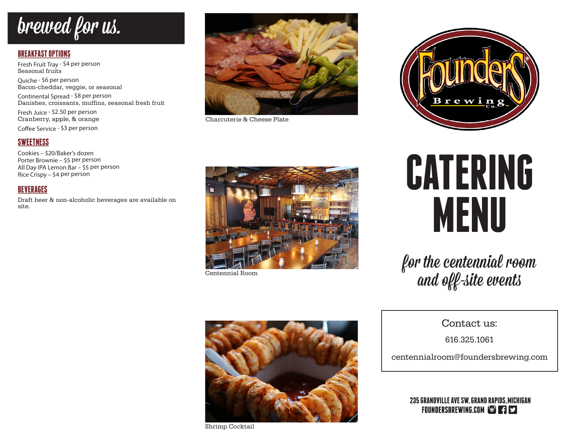# brewed for us.

# **BREAKFAST OPTIONS**

Fresh Fruit Tray - \$4 per person Seasonal fruits

Quiche - \$6 per person Bacon-cheddar, veggie, or seasonal

Continental Spread - \$8 per person Danishes, croissants, muffins, seasonal fresh fruit

Fresh Juice - \$2.50 per person Cranberry, apple, & orange

Coffee Service - \$3 per person

# **SWEETNESS**

Cookies – \$20/Baker's dozen Porter Brownie – \$5 per person All Day IPA Lemon Bar – \$5 per person Rice Crispy – \$4 per person

# **BEVERAGES**

Draft beer & non-alcoholic beverages are available on site.



Charcuterie & Cheese Plate



Centennial Room



Shrimp Cocktail



# **CATERING MENU**

for the centennial room and off-site events

Contact us:

616.325.1061

centennialroom@foundersbrewing.com

**235 GRANDVILLE AVE SW, GRAND RAPIDS, MICHIGAN** FOUNDERSBREWING.COM TO FIS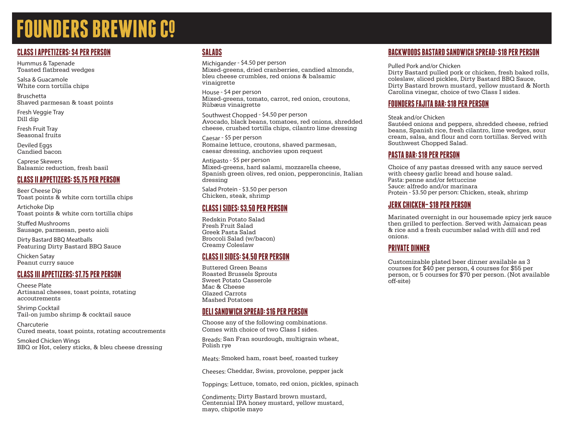# **FOUNDERS BREWING CO**

# **CLASS I APPETIZERS: \$4 PER PERSON**

Hummus & Tapenade Toasted flatbread wedges

Salsa & Guacamole White corn tortilla chips

Bruschetta Shaved parmesan & toast points

Fresh Veggie Tray Dill dip

Fresh Fruit Tray Seasonal fruits

Deviled Eggs Candied bacon

Caprese Skewers Balsamic reduction, fresh basil

# **CLASS II APPETIZERS: \$5.75 PER PERSON**

Beer Cheese Dip Toast points & white corn tortilla chips

Artichoke Dip Toast points & white corn tortilla chips

Stuffed Mushrooms Sausage, parmesan, pesto aioli

Dirty Bastard BBQ Meatballs Featuring Dirty Bastard BBQ Sauce

Chicken Satay Peanut curry sauce

# **CLASS III APPETIZERS: \$7.75 PER PERSON**

Cheese Plate Artisanal cheeses, toast points, rotating accoutrements

Shrimp Cocktail Tail-on jumbo shrimp & cocktail sauce

Charcuterie Cured meats, toast points, rotating accoutrements

Smoked Chicken Wings BBQ or Hot, celery sticks, & bleu cheese dressing

# **SALADS**

Michigander - \$4.50 per person Mixed-greens, dried cranberries, candied almonds, bleu cheese crumbles, red onions & balsamic vinaigrette

House - \$4 per person Mixed-greens, tomato, carrot, red onion, croutons, Rübæus vinaigrette

Southwest Chopped - \$4.50 per person Avocado, black beans, tomatoes, red onions, shredded cheese, crushed tortilla chips, cilantro lime dressing

Caesar - \$5 per person Romaine lettuce, croutons, shaved parmesan, caesar dressing, anchovies upon request

Antipasto - \$5 per person Mixed-greens, hard salami, mozzarella cheese, Spanish green olives, red onion, pepperoncinis, Italian dressing

Salad Protein - \$3.50 per person Chicken, steak, shrimp

### **CLASS I SIDES: \$3.50 PER PERSON**

Redskin Potato Salad Fresh Fruit Salad Greek Pasta Salad Broccoli Salad (w/bacon) Creamy Coleslaw

# **CLASS II SIDES: \$4.50 PER PERSON**

Buttered Green Beans Roasted Brussels Sprouts Sweet Potato Casserole Mac & Cheese Glazed Carrots Mashed Potatoes

## **DELI SANDWICH SPREAD: \$16 PER PERSON**

Choose any of the following combinations. Comes with choice of two Class I sides.

Breads: San Fran sourdough, multigrain wheat, Polish rye

Meats: Smoked ham, roast beef, roasted turkey

Cheeses: Cheddar, Swiss, provolone, pepper jack

Toppings: Lettuce, tomato, red onion, pickles, spinach

Condiments: Dirty Bastard brown mustard, Centennial IPA honey mustard, yellow mustard, mayo, chipotle mayo

# **BACKWOODS BASTARD SANDWICH SPREAD: \$18 PER PERSON**

Pulled Pork and/or Chicken

Dirty Bastard pulled pork or chicken, fresh baked rolls, coleslaw, sliced pickles, Dirty Bastard BBQ Sauce, Dirty Bastard brown mustard, yellow mustard & North Carolina vinegar, choice of two Class I sides.

## **FOUNDERS FAJITA BAR: \$18 PER PERSON**

Steak and/or Chicken

Sautéed onions and peppers, shredded cheese, refried beans, Spanish rice, fresh cilantro, lime wedges, sour cream, salsa, and flour and corn tortillas. Served with Southwest Chopped Salad.

### **PASTA BAR: \$18 PER PERSON**

Choice of any pastas dressed with any sauce served with cheesy garlic bread and house salad. Pasta: penne and/or fettuccine Sauce: alfredo and/or marinara Protein - \$3.50 per person: Chicken, steak, shrimp

### **JERK CHICKEN– \$18 PER PERSON**

Marinated overnight in our housemade spicy jerk sauce then grilled to perfection. Served with Jamaican peas & rice and a fresh cucumber salad with dill and red onions.

# **PRIVATE DINNER**

Customizable plated beer dinner available as 3 courses for \$40 per person, 4 courses for \$55 per person, or 5 courses for \$70 per person. (Not available off-site)